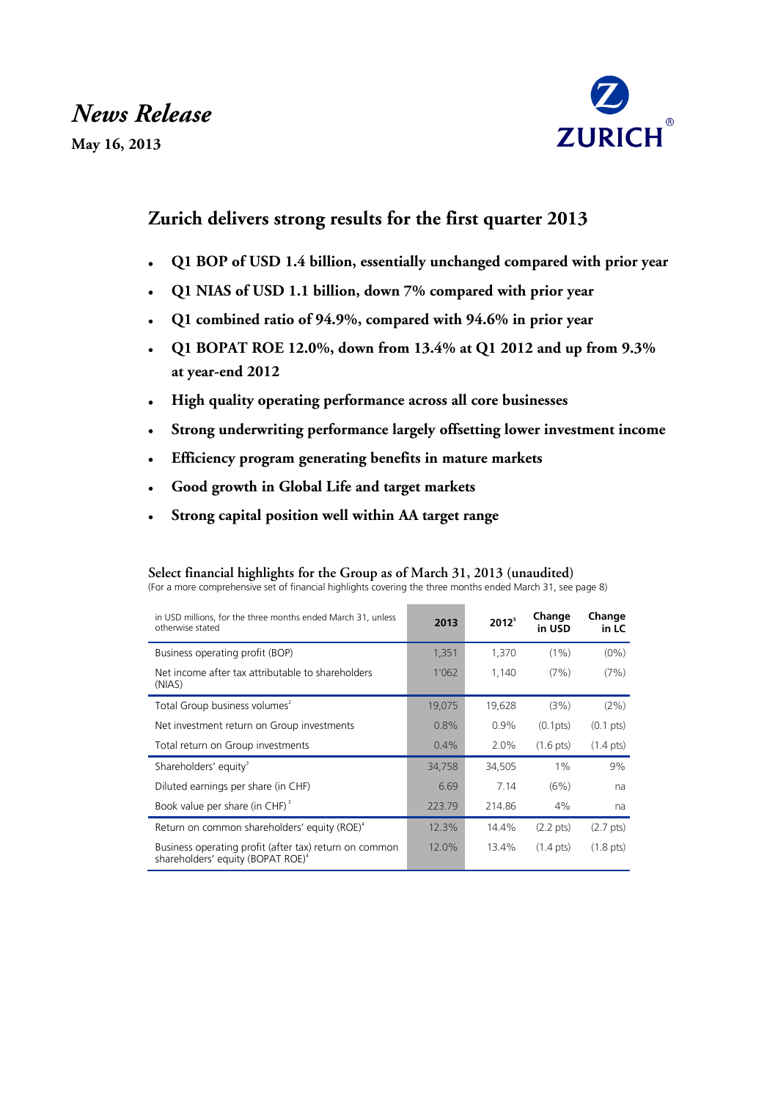# *News Release*

**May 16, 2013**



## **Zurich delivers strong results for the first quarter 2013**

- **edditra / Codd Boratted Boratted Post Codd Boratted Conserved Codds Conserved compared** with prior year
	- **Q1 NIAS of USD 1.1 billion, down 7% compared with prior year**  $\bullet$
	- **Q1 combined ratio of 94.9%, compared with 94.6% in prior year**  $\bullet$
	- **Q1 BOPAT ROE 12.0%, down from 13.4% at Q1 2012 and up from 9.3%**  $\bullet$ **at year-end 2012**
	- **High quality operating performance across all core businesses**  $\bullet$
	- **Strong underwriting performance largely offsetting lower investment income**
	- **Efficiency program generating benefits in mature markets**
	- **Good growth in Global Life and target markets**
	- **Strong capital position well within AA target range**

**Select financial highlights for the Group as of March 31, 2013 (unaudited)**

| (For a more comprehensive set of financial highlights covering the three months ended March 31, see page 8) |  |  |  |
|-------------------------------------------------------------------------------------------------------------|--|--|--|
|-------------------------------------------------------------------------------------------------------------|--|--|--|

| in USD millions, for the three months ended March 31, unless<br>otherwise stated                        | 2013    | $2012^5$ | Change<br>in USD    | Change<br>in LC       |
|---------------------------------------------------------------------------------------------------------|---------|----------|---------------------|-----------------------|
| Business operating profit (BOP)                                                                         | 1,351   | 1,370    | $(1\%)$             | $(0\%)$               |
| Net income after tax attributable to shareholders<br>(NIAS)                                             | 1'062   | 1,140    | (7%)                | (7%)                  |
| Total Group business volumes <sup>2</sup>                                                               | 19,075  | 19,628   | (3%)                | (2%)                  |
| Net investment return on Group investments                                                              | 0.8%    | $0.9\%$  | (0.1pts)            | $(0.1 \text{ pts})$   |
| Total return on Group investments                                                                       | $0.4\%$ | 2.0%     | $(1.6 \text{ pts})$ | $(1.4 \text{ pts})$   |
| Shareholders' equity <sup>3</sup>                                                                       | 34,758  | 34,505   | $1\%$               | 9%                    |
| Diluted earnings per share (in CHF)                                                                     | 6.69    | 7.14     | (6%)                | na                    |
| Book value per share (in CHF) <sup>3</sup>                                                              | 223.79  | 214.86   | 4%                  | na                    |
| Return on common shareholders' equity (ROE) <sup>4</sup>                                                | 12.3%   | 14.4%    | $(2.2 \text{ pts})$ | (2.7 <sub>pts</sub> ) |
| Business operating profit (after tax) return on common<br>shareholders' equity (BOPAT ROE) <sup>4</sup> | 12.0%   | 13.4%    | $(1.4 \text{ pts})$ | $(1.8 \text{ pts})$   |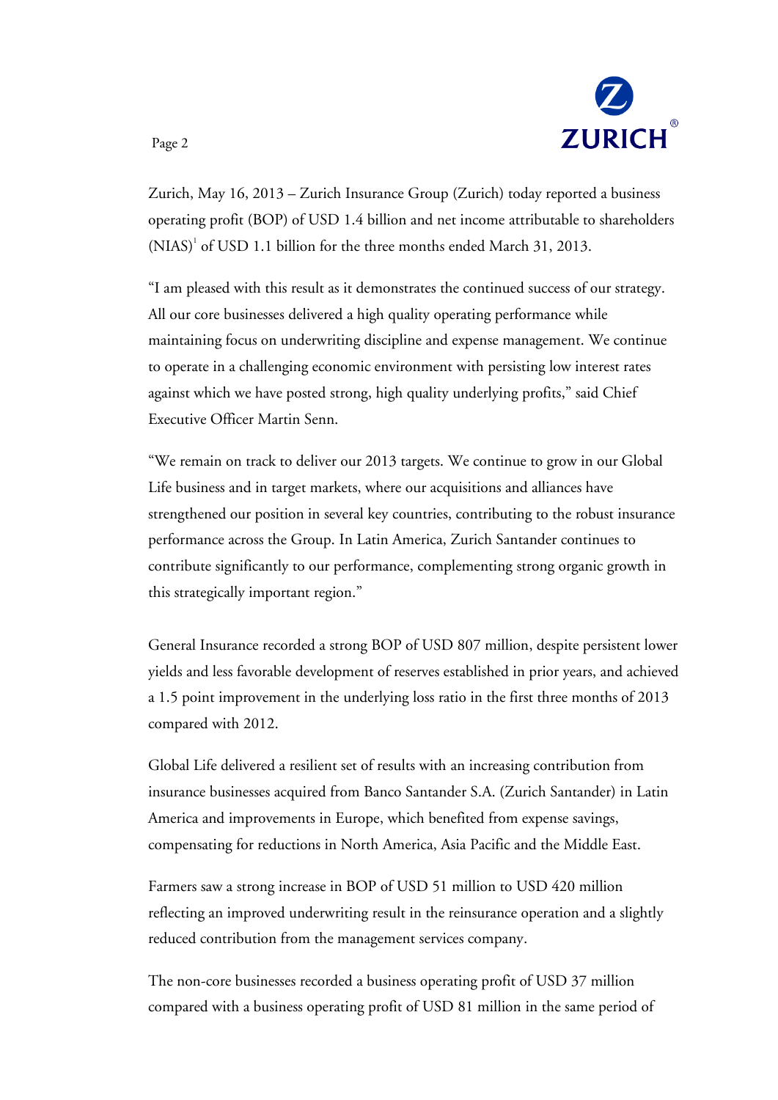

Zurich, May 16, 2013 – Zurich Insurance Group (Zurich) today reported a business operating profit (BOP) of USD 1.4 billion and net income attributable to shareholders  $(NIAS)^1$  of USD 1.1 billion for the three months ended March 31, 2013.

"I am pleased with this result as it demonstrates the continued success of our strategy. All our core businesses delivered a high quality operating performance while maintaining focus on underwriting discipline and expense management. We continue to operate in a challenging economic environment with persisting low interest rates against which we have posted strong, high quality underlying profits," said Chief Executive Officer Martin Senn.

"We remain on track to deliver our 2013 targets. We continue to grow in our Global Life business and in target markets, where our acquisitions and alliances have strengthened our position in several key countries, contributing to the robust insurance performance across the Group. In Latin America, Zurich Santander continues to contribute significantly to our performance, complementing strong organic growth in this strategically important region."

General Insurance recorded a strong BOP of USD 807 million, despite persistent lower yields and less favorable development of reserves established in prior years, and achieved a 1.5 point improvement in the underlying loss ratio in the first three months of 2013 compared with 2012.

Global Life delivered a resilient set of results with an increasing contribution from insurance businesses acquired from Banco Santander S.A. (Zurich Santander) in Latin America and improvements in Europe, which benefited from expense savings, compensating for reductions in North America, Asia Pacific and the Middle East.

Farmers saw a strong increase in BOP of USD 51 million to USD 420 million reflecting an improved underwriting result in the reinsurance operation and a slightly reduced contribution from the management services company.

The non-core businesses recorded a business operating profit of USD 37 million compared with a business operating profit of USD 81 million in the same period of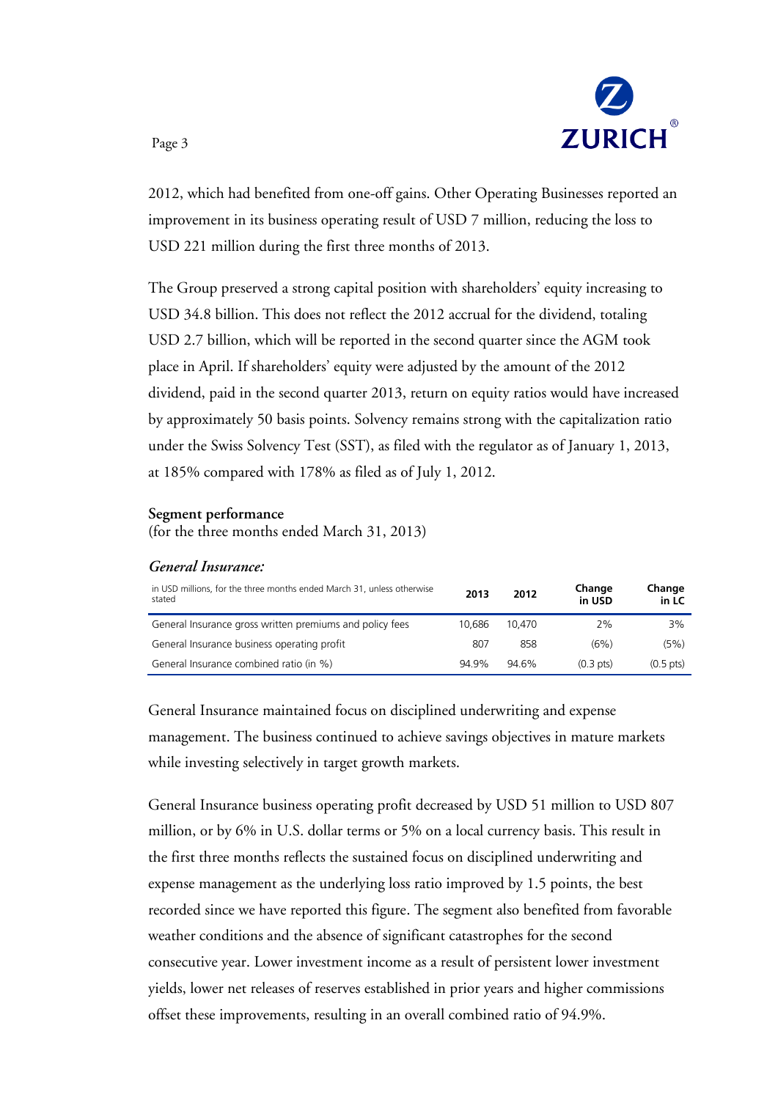

2012, which had benefited from one-off gains. Other Operating Businesses reported an improvement in its business operating result of USD 7 million, reducing the loss to USD 221 million during the first three months of 2013.

The Group preserved a strong capital position with shareholders' equity increasing to USD 34.8 billion. This does not reflect the 2012 accrual for the dividend, totaling USD 2.7 billion, which will be reported in the second quarter since the AGM took place in April. If shareholders' equity were adjusted by the amount of the 2012 dividend, paid in the second quarter 2013, return on equity ratios would have increased by approximately 50 basis points. Solvency remains strong with the capitalization ratio under the Swiss Solvency Test (SST), as filed with the regulator as of January 1, 2013, at 185% compared with 178% as filed as of July 1, 2012.

#### **Segment performance**

(for the three months ended March 31, 2013)

#### *General Insurance:*

| in USD millions, for the three months ended March 31, unless otherwise<br>stated | 2013   | 2012   | Change<br>in USD    | Change<br>in LC     |
|----------------------------------------------------------------------------------|--------|--------|---------------------|---------------------|
| General Insurance gross written premiums and policy fees                         | 10.686 | 10.470 | 2%                  | 3%                  |
| General Insurance business operating profit                                      | 807    | 858    | (6%)                | (5%)                |
| General Insurance combined ratio (in %)                                          | 94.9%  | 94.6%  | $(0.3 \text{ pts})$ | $(0.5 \text{ pts})$ |

General Insurance maintained focus on disciplined underwriting and expense management. The business continued to achieve savings objectives in mature markets while investing selectively in target growth markets.

General Insurance business operating profit decreased by USD 51 million to USD 807 million, or by 6% in U.S. dollar terms or 5% on a local currency basis. This result in the first three months reflects the sustained focus on disciplined underwriting and expense management as the underlying loss ratio improved by 1.5 points, the best recorded since we have reported this figure. The segment also benefited from favorable weather conditions and the absence of significant catastrophes for the second consecutive year. Lower investment income as a result of persistent lower investment yields, lower net releases of reserves established in prior years and higher commissions offset these improvements, resulting in an overall combined ratio of 94.9%.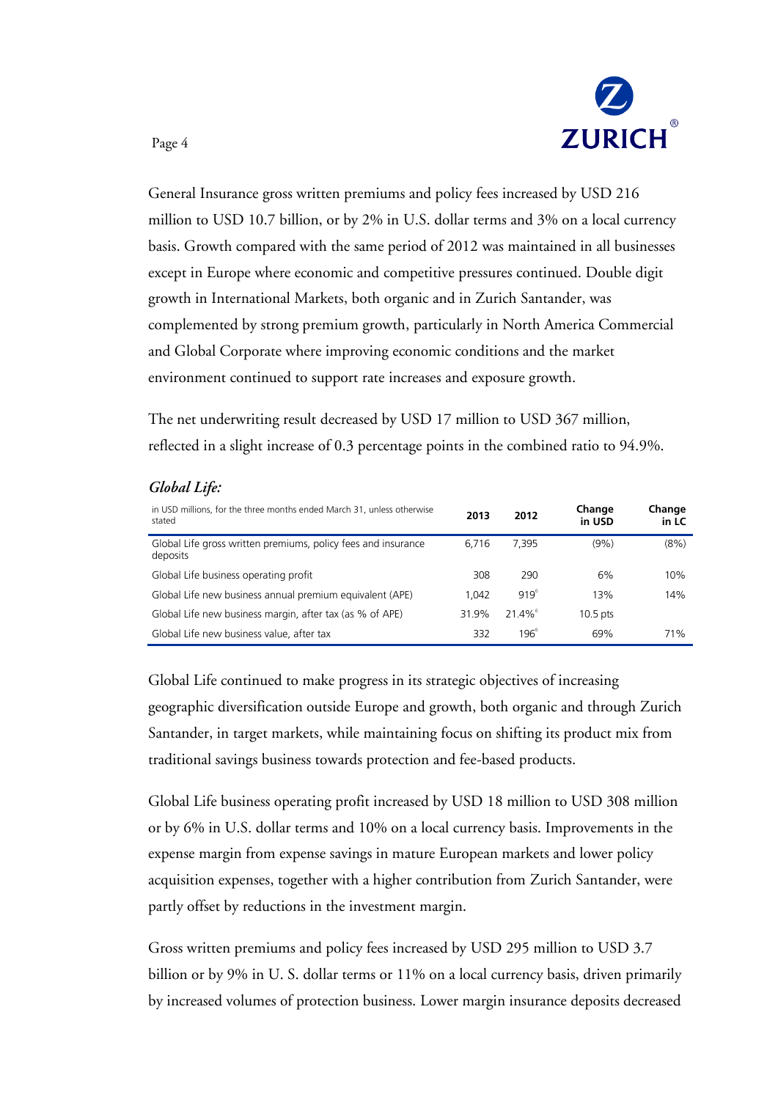

General Insurance gross written premiums and policy fees increased by USD 216 million to USD 10.7 billion, or by 2% in U.S. dollar terms and 3% on a local currency basis. Growth compared with the same period of 2012 was maintained in all businesses except in Europe where economic and competitive pressures continued. Double digit growth in International Markets, both organic and in Zurich Santander, was complemented by strong premium growth, particularly in North America Commercial and Global Corporate where improving economic conditions and the market environment continued to support rate increases and exposure growth.

The net underwriting result decreased by USD 17 million to USD 367 million, reflected in a slight increase of 0.3 percentage points in the combined ratio to 94.9%.

### *Global Life:*

| in USD millions, for the three months ended March 31, unless otherwise<br>stated | 2013  | 2012                  | Change<br>in USD | Change<br>in LC |
|----------------------------------------------------------------------------------|-------|-----------------------|------------------|-----------------|
| Global Life gross written premiums, policy fees and insurance<br>deposits        | 6.716 | 7.395                 | (9%)             | (8%)            |
| Global Life business operating profit                                            | 308   | 290                   | 6%               | 10%             |
| Global Life new business annual premium equivalent (APE)                         | 1.042 | $919^{6}$             | 13%              | 14%             |
| Global Life new business margin, after tax (as % of APE)                         | 31 9% | $21.4\%$ <sup>6</sup> | $10.5$ pts       |                 |
| Global Life new business value, after tax                                        | 332   | $196^\circ$           | 69%              | 71 <sup>%</sup> |

Global Life continued to make progress in its strategic objectives of increasing geographic diversification outside Europe and growth, both organic and through Zurich Santander, in target markets, while maintaining focus on shifting its product mix from traditional savings business towards protection and fee-based products.

Global Life business operating profit increased by USD 18 million to USD 308 million or by 6% in U.S. dollar terms and 10% on a local currency basis. Improvements in the expense margin from expense savings in mature European markets and lower policy acquisition expenses, together with a higher contribution from Zurich Santander, were partly offset by reductions in the investment margin.

Gross written premiums and policy fees increased by USD 295 million to USD 3.7 billion or by 9% in U. S. dollar terms or 11% on a local currency basis, driven primarily by increased volumes of protection business. Lower margin insurance deposits decreased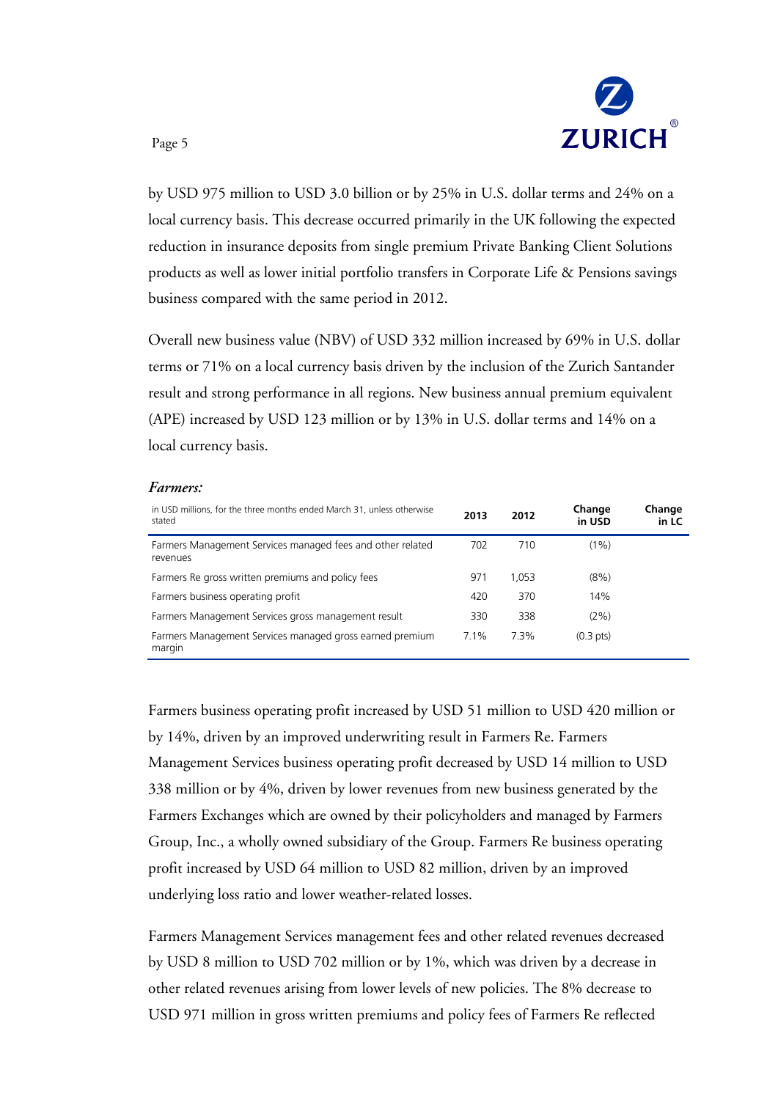

by USD 975 million to USD 3.0 billion or by 25% in U.S. dollar terms and 24% on a local currency basis. This decrease occurred primarily in the UK following the expected reduction in insurance deposits from single premium Private Banking Client Solutions products as well as lower initial portfolio transfers in Corporate Life & Pensions savings business compared with the same period in 2012.

Overall new business value (NBV) of USD 332 million increased by 69% in U.S. dollar terms or 71% on a local currency basis driven by the inclusion of the Zurich Santander result and strong performance in all regions. New business annual premium equivalent (APE) increased by USD 123 million or by 13% in U.S. dollar terms and 14% on a local currency basis.

#### *Farmers:*

| in USD millions, for the three months ended March 31, unless otherwise<br>stated |         | 2012    | Change<br>in USD    | Change<br>in LC |
|----------------------------------------------------------------------------------|---------|---------|---------------------|-----------------|
| Farmers Management Services managed fees and other related<br>revenues           | 702     | 710     | $(1\%)$             |                 |
| Farmers Re gross written premiums and policy fees                                | 971     | 1.053   | (8%)                |                 |
| Farmers business operating profit                                                | 420     | 370     | 14%                 |                 |
| Farmers Management Services gross management result                              | 330     | 338     | (2%)                |                 |
| Farmers Management Services managed gross earned premium<br>margin               | $7.1\%$ | $7.3\%$ | $(0.3 \text{ pts})$ |                 |

Farmers business operating profit increased by USD 51 million to USD 420 million or by 14%, driven by an improved underwriting result in Farmers Re. Farmers Management Services business operating profit decreased by USD 14 million to USD 338 million or by 4%, driven by lower revenues from new business generated by the Farmers Exchanges which are owned by their policyholders and managed by Farmers Group, Inc., a wholly owned subsidiary of the Group. Farmers Re business operating profit increased by USD 64 million to USD 82 million, driven by an improved underlying loss ratio and lower weather-related losses.

Farmers Management Services management fees and other related revenues decreased by USD 8 million to USD 702 million or by 1%, which was driven by a decrease in other related revenues arising from lower levels of new policies. The 8% decrease to USD 971 million in gross written premiums and policy fees of Farmers Re reflected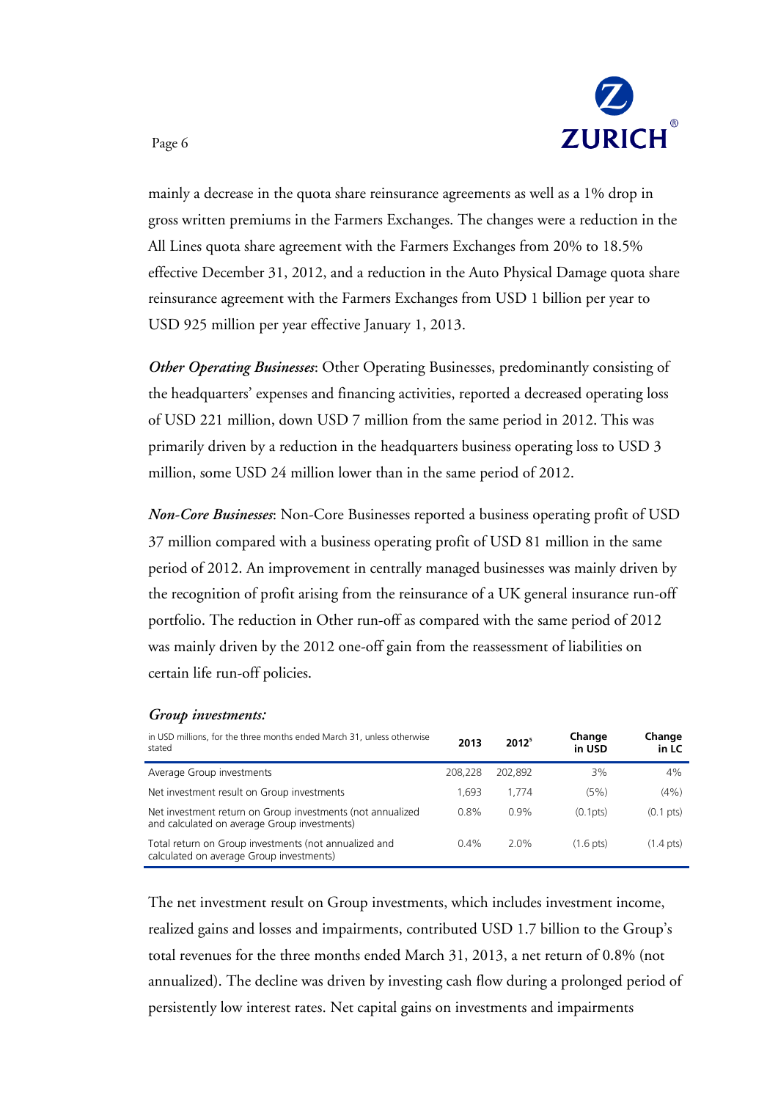

mainly a decrease in the quota share reinsurance agreements as well as a 1% drop in gross written premiums in the Farmers Exchanges. The changes were a reduction in the All Lines quota share agreement with the Farmers Exchanges from 20% to 18.5% effective December 31, 2012, and a reduction in the Auto Physical Damage quota share reinsurance agreement with the Farmers Exchanges from USD 1 billion per year to USD 925 million per year effective January 1, 2013.

*Other Operating Businesses*: Other Operating Businesses, predominantly consisting of the headquarters' expenses and financing activities, reported a decreased operating loss of USD 221 million, down USD 7 million from the same period in 2012. This was primarily driven by a reduction in the headquarters business operating loss to USD 3 million, some USD 24 million lower than in the same period of 2012.

*Non-Core Businesses*: Non-Core Businesses reported a business operating profit of USD 37 million compared with a business operating profit of USD 81 million in the same period of 2012. An improvement in centrally managed businesses was mainly driven by the recognition of profit arising from the reinsurance of a UK general insurance run-off portfolio. The reduction in Other run-off as compared with the same period of 2012 was mainly driven by the 2012 one-off gain from the reassessment of liabilities on certain life run-off policies.

#### *Group investments:*

| in USD millions, for the three months ended March 31, unless otherwise<br>stated                           |         | $2012^5$ | Change<br>in USD    | Change<br>in LC     |
|------------------------------------------------------------------------------------------------------------|---------|----------|---------------------|---------------------|
| Average Group investments                                                                                  | 208.228 | 202.892  | 3%                  | 4%                  |
| Net investment result on Group investments                                                                 | 1.693   | 1.774    | (5%)                | (4% )               |
| Net investment return on Group investments (not annualized<br>and calculated on average Group investments) | 0.8%    | $0.9\%$  | (0.1pts)            | $(0.1 \text{ pts})$ |
| Total return on Group investments (not annualized and<br>calculated on average Group investments)          | $0.4\%$ | $2.0\%$  | $(1.6 \text{ pts})$ | $(1.4 \text{ pts})$ |

The net investment result on Group investments, which includes investment income, realized gains and losses and impairments, contributed USD 1.7 billion to the Group's total revenues for the three months ended March 31, 2013, a net return of 0.8% (not annualized). The decline was driven by investing cash flow during a prolonged period of persistently low interest rates. Net capital gains on investments and impairments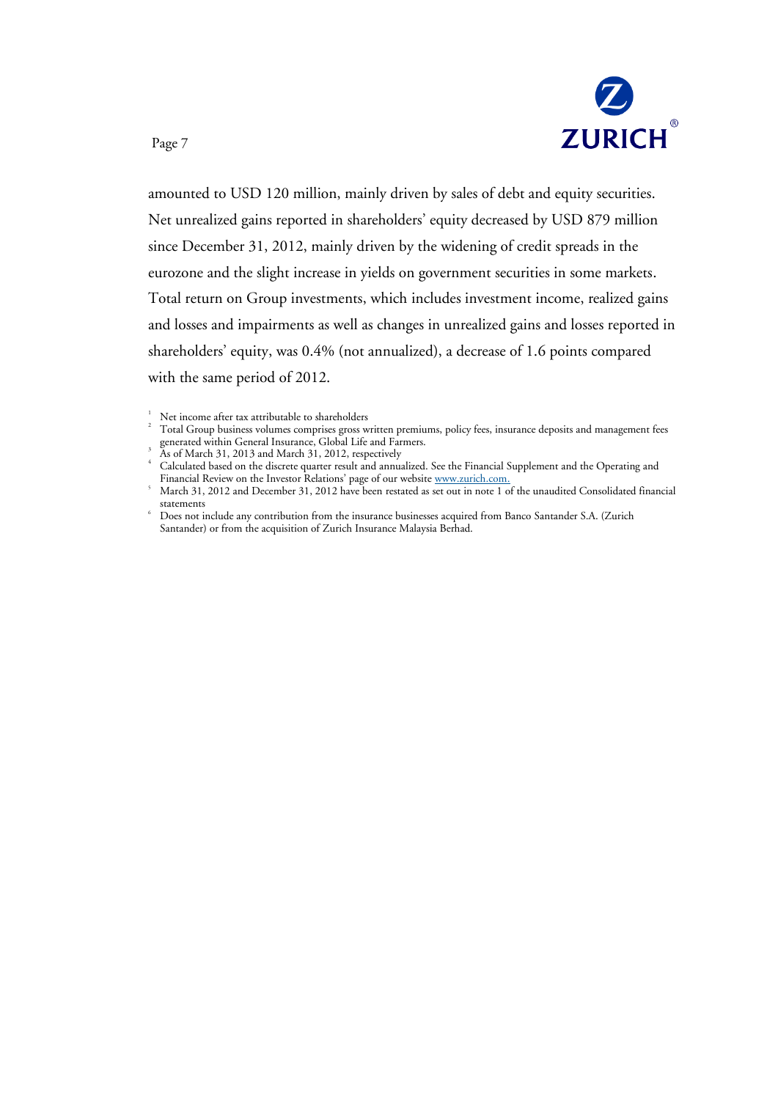

amounted to USD 120 million, mainly driven by sales of debt and equity securities. Net unrealized gains reported in shareholders' equity decreased by USD 879 million since December 31, 2012, mainly driven by the widening of credit spreads in the eurozone and the slight increase in yields on government securities in some markets. Total return on Group investments, which includes investment income, realized gains and losses and impairments as well as changes in unrealized gains and losses reported in shareholders' equity, was 0.4% (not annualized), a decrease of 1.6 points compared with the same period of 2012.

- 2 Total Group business volumes comprises gross written premiums, policy fees, insurance deposits and management fees generated within General Insurance, Global Life and Farmers.
- 3 As of March 31, 2013 and March 31, 2012, respectively

Net income after tax attributable to shareholders

<sup>4</sup> Calculated based on the discrete quarter result and annualized. See the Financial Supplement and the Operating and Financial Review on the Investor Relations' page of our website [www.zurich.com.](http://www.zurich.com/)

March 31, 2012 and December 31, 2012 have been restated as set out in note 1 of the unaudited Consolidated financial statements

Does not include any contribution from the insurance businesses acquired from Banco Santander S.A. (Zurich Santander) or from the acquisition of Zurich Insurance Malaysia Berhad.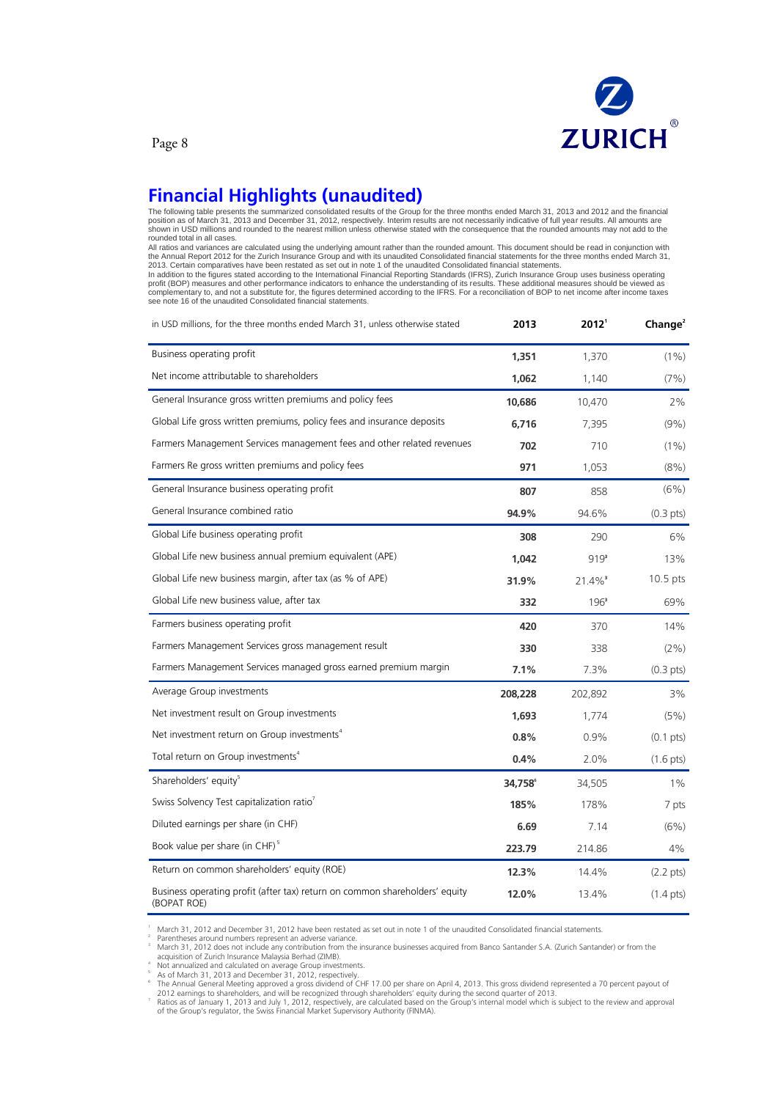

Page 8

**Financial Highlights (unaudited)**<br>The following table presents the summarized consolidated results of the Group for the three months ended March 31, 2013 and 2012 and the financial<br>position as of March 31, 2013 and Decemb

All ratios and variances are calculated using the underlying amount rather than the rounded amount. This document should be read in conjunction with the Annual Report 2012 for the Zurich Insurance Group and with its unaudited Consolidated financial statements for the three months ended March 31,<br>2013. Certain comparatives have been restated as set out in note 1 of the

In addition to the figures stated according to the International Financial Reporting Standards (IFRS), Zurich Insurance Group uses business operating<br>profit (BOP) measures and other performance indicators to enhance the un

| in USD millions, for the three months ended March 31, unless otherwise stated              | 2013                | 2012 <sup>1</sup>     | Change $2$          |
|--------------------------------------------------------------------------------------------|---------------------|-----------------------|---------------------|
| Business operating profit                                                                  | 1,351               | 1,370                 | $(1\%)$             |
| Net income attributable to shareholders                                                    | 1,062               | 1,140                 | (7%)                |
| General Insurance gross written premiums and policy fees                                   | 10.686              | 10,470                | 2%                  |
| Global Life gross written premiums, policy fees and insurance deposits                     | 6,716               | 7,395                 | (9% )               |
| Farmers Management Services management fees and other related revenues                     | 702                 | 710                   | $(1\%)$             |
| Farmers Re gross written premiums and policy fees                                          | 971                 | 1,053                 | (8%)                |
| General Insurance business operating profit                                                | 807                 | 858                   | (6%)                |
| General Insurance combined ratio                                                           | 94.9%               | 94.6%                 | $(0.3 \text{ pts})$ |
| Global Life business operating profit                                                      | 308                 | 290                   | 6%                  |
| Global Life new business annual premium equivalent (APE)                                   | 1,042               | 919 <sup>3</sup>      | 13%                 |
| Global Life new business margin, after tax (as % of APE)                                   | 31.9%               | $21.4\%$ <sup>3</sup> | $10.5$ pts          |
| Global Life new business value, after tax                                                  | 332                 | $196^3$               | 69%                 |
| Farmers business operating profit                                                          | 420                 | 370                   | 14%                 |
| Farmers Management Services gross management result                                        | 330                 | 338                   | (2%)                |
| Farmers Management Services managed gross earned premium margin                            | 7.1%                | 7.3%                  | $(0.3 \text{ pts})$ |
| Average Group investments                                                                  | 208,228             | 202,892               | 3%                  |
| Net investment result on Group investments                                                 | 1,693               | 1,774                 | (5%)                |
| Net investment return on Group investments <sup>4</sup>                                    | 0.8%                | 0.9%                  | $(0.1 \text{ pts})$ |
| Total return on Group investments <sup>4</sup>                                             | 0.4%                | 2.0%                  | $(1.6 \text{ pts})$ |
| Shareholders' equity <sup>5</sup>                                                          | 34.758 <sup>6</sup> | 34,505                | 1%                  |
| Swiss Solvency Test capitalization ratio <sup>7</sup>                                      | 185%                | 178%                  | 7 pts               |
| Diluted earnings per share (in CHF)                                                        | 6.69                | 7.14                  | (6%)                |
| Book value per share (in CHF) <sup>5</sup>                                                 | 223.79              | 214.86                | 4%                  |
| Return on common shareholders' equity (ROE)                                                | 12.3%               | 14.4%                 | $(2.2 \text{ pts})$ |
| Business operating profit (after tax) return on common shareholders' equity<br>(BOPAT ROE) | 12.0%               | 13.4%                 | $(1.4 \text{ pts})$ |

March 31, 2012 and December 31, 2012 have been restated as set out in note 1 of the unaudited Consolidated financial statements.<br><sup>2</sup> Parentheses around numbers represent an adverse variance.<br><sup>3</sup> March 31, 2012 does not inc

4 – Not annualized and calculated on average Group investments.<br>5 – As of March 31, 2013 and December 31, 2012, respectively.<br>6 – The Annual General Meeting approved a gross dividend of CHF 17.00 per share on April 4, 2013 6

2012 earnings to shareholders, and will be recognized through shareholders' equity during the second quarter of 2013.<br>Ratios as of January 1, 2013 and July 1, 2012, respectively, are calculated based on the Group's interna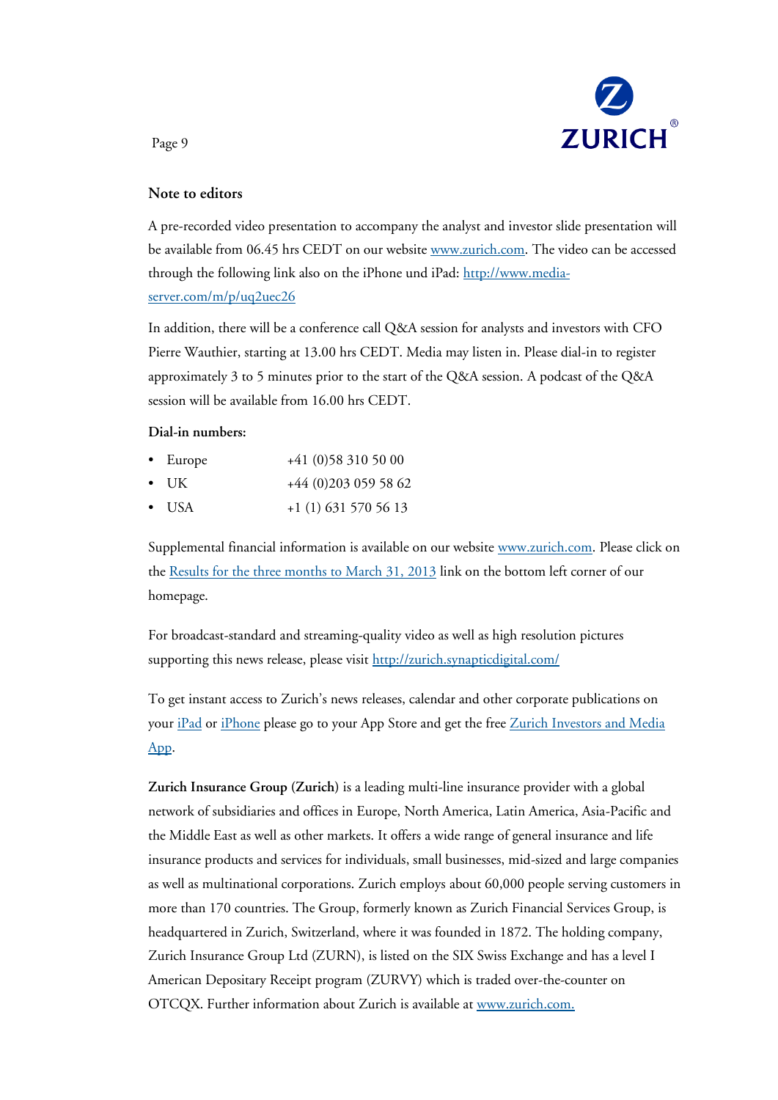

#### **Note to editors**

A pre-recorded video presentation to accompany the analyst and investor slide presentation will be available from 06.45 hrs CEDT on our website [www.zurich.com.](http://www.zurich.com/main/home/welcome.htm) The video can be accessed through the following link also on the iPhone und iPad: [http://www.media](http://www.media-server.com/m/p/uq2uec26)[server.com/m/p/uq2uec26](http://www.media-server.com/m/p/uq2uec26)

In addition, there will be a conference call Q&A session for analysts and investors with CFO Pierre Wauthier, starting at 13.00 hrs CEDT. Media may listen in. Please dial-in to register approximately 3 to 5 minutes prior to the start of the Q&A session. A podcast of the Q&A session will be available from 16.00 hrs CEDT.

#### **Dial-in numbers:**

|  | • Europe | +41 (0)58 310 50 00 |
|--|----------|---------------------|
|--|----------|---------------------|

- UK  $+44(0)2030595862$
- USA  $+1$  (1) 631 570 56 13

Supplemental financial information is available on our website [www.zurich.com.](http://www.zurich.com/main/home/welcome.htm) Please click on the [Results for the three months to March 31, 2013](http://www.zurich.com/investors/resultsandreports/resultsday/) link on the bottom left corner of our homepage.

For broadcast-standard and streaming-quality video as well as high resolution pictures supporting this news release, please visit<http://zurich.synapticdigital.com/>

To get instant access to Zurich's news releases, calendar and other corporate publications on your [iPad](https://itunes.apple.com/us/app/zurich-investors-media-app/id580391924?ls=1&mt=8) or [iPhone](https://itunes.apple.com/us/app/zurich-investors-media-app/id619604072?ls=1&mt=8) please go to your App Store and get the free [Zurich Investors and Media](http://www.zurich.com/services/ipad/)  [App.](http://www.zurich.com/services/ipad/)

**Zurich Insurance Group (Zurich)** is a leading multi-line insurance provider with a global network of subsidiaries and offices in Europe, North America, Latin America, Asia-Pacific and the Middle East as well as other markets. It offers a wide range of general insurance and life insurance products and services for individuals, small businesses, mid-sized and large companies as well as multinational corporations. Zurich employs about 60,000 people serving customers in more than 170 countries. The Group, formerly known as Zurich Financial Services Group, is headquartered in Zurich, Switzerland, where it was founded in 1872. The holding company, Zurich Insurance Group Ltd (ZURN), is listed on the SIX Swiss Exchange and has a level I American Depositary Receipt program (ZURVY) which is traded over-the-counter on OTCQX. Further information about Zurich is available at [www.zurich.com.](http://www.zurich.com/)